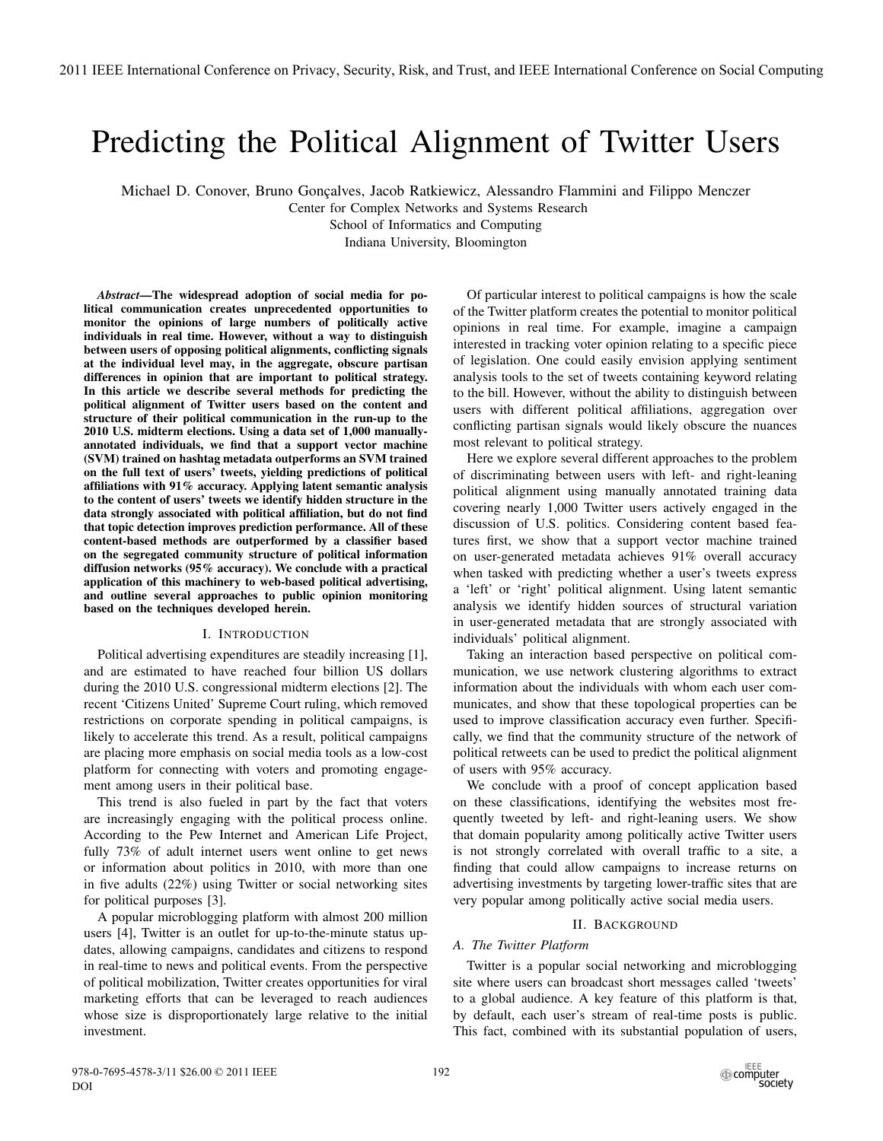# Predicting the Political Alignment of Twitter Users

Michael D. Conover, Bruno Gonçalves, Jacob Ratkiewicz, Alessandro Flammini and Filippo Menczer

Center for Complex Networks and Systems Research

School of Informatics and Computing

Indiana University, Bloomington

*Abstract*—The widespread adoption of social media for political communication creates unprecedented opportunities to monitor the opinions of large numbers of politically active individuals in real time. However, without a way to distinguish between users of opposing political alignments, conflicting signals at the individual level may, in the aggregate, obscure partisan differences in opinion that are important to political strategy. In this article we describe several methods for predicting the political alignment of Twitter users based on the content and structure of their political communication in the run-up to the 2010 U.S. midterm elections. Using a data set of 1,000 manuallyannotated individuals, we find that a support vector machine (SVM) trained on hashtag metadata outperforms an SVM trained on the full text of users' tweets, yielding predictions of political affiliations with 91% accuracy. Applying latent semantic analysis to the content of users' tweets we identify hidden structure in the data strongly associated with political affiliation, but do not find that topic detection improves prediction performance. All of these content-based methods are outperformed by a classifier based on the segregated community structure of political information diffusion networks (95% accuracy). We conclude with a practical application of this machinery to web-based political advertising, and outline several approaches to public opinion monitoring based on the techniques developed herein.

### I. INTRODUCTION

Political advertising expenditures are steadily increasing [1], and are estimated to have reached four billion US dollars during the 2010 U.S. congressional midterm elections [2]. The recent 'Citizens United' Supreme Court ruling, which removed restrictions on corporate spending in political campaigns, is likely to accelerate this trend. As a result, political campaigns are placing more emphasis on social media tools as a low-cost platform for connecting with voters and promoting engagement among users in their political base.

This trend is also fueled in part by the fact that voters are increasingly engaging with the political process online. According to the Pew Internet and American Life Project, fully 73% of adult internet users went online to get news or information about politics in 2010, with more than one in five adults (22%) using Twitter or social networking sites for political purposes [3].

A popular microblogging platform with almost 200 million users [4], Twitter is an outlet for up-to-the-minute status updates, allowing campaigns, candidates and citizens to respond in real-time to news and political events. From the perspective of political mobilization, Twitter creates opportunities for viral marketing efforts that can be leveraged to reach audiences whose size is disproportionately large relative to the initial investment.

Of particular interest to political campaigns is how the scale of the Twitter platform creates the potential to monitor political opinions in real time. For example, imagine a campaign interested in tracking voter opinion relating to a specific piece of legislation. One could easily envision applying sentiment analysis tools to the set of tweets containing keyword relating to the bill. However, without the ability to distinguish between users with different political affiliations, aggregation over conflicting partisan signals would likely obscure the nuances most relevant to political strategy.

Here we explore several different approaches to the problem of discriminating between users with left- and right-leaning political alignment using manually annotated training data covering nearly 1,000 Twitter users actively engaged in the discussion of U.S. politics. Considering content based features first, we show that a support vector machine trained on user-generated metadata achieves 91% overall accuracy when tasked with predicting whether a user's tweets express a 'left' or 'right' political alignment. Using latent semantic analysis we identify hidden sources of structural variation in user-generated metadata that are strongly associated with individuals' political alignment.

Taking an interaction based perspective on political communication, we use network clustering algorithms to extract information about the individuals with whom each user communicates, and show that these topological properties can be used to improve classification accuracy even further. Specifically, we find that the community structure of the network of political retweets can be used to predict the political alignment of users with 95% accuracy.

We conclude with a proof of concept application based on these classifications, identifying the websites most frequently tweeted by left- and right-leaning users. We show that domain popularity among politically active Twitter users is not strongly correlated with overall traffic to a site, a finding that could allow campaigns to increase returns on advertising investments by targeting lower-traffic sites that are very popular among politically active social media users.

# II. BACKGROUND

### *A. The Twitter Platform*

Twitter is a popular social networking and microblogging site where users can broadcast short messages called 'tweets' to a global audience. A key feature of this platform is that, by default, each user's stream of real-time posts is public. This fact, combined with its substantial population of users,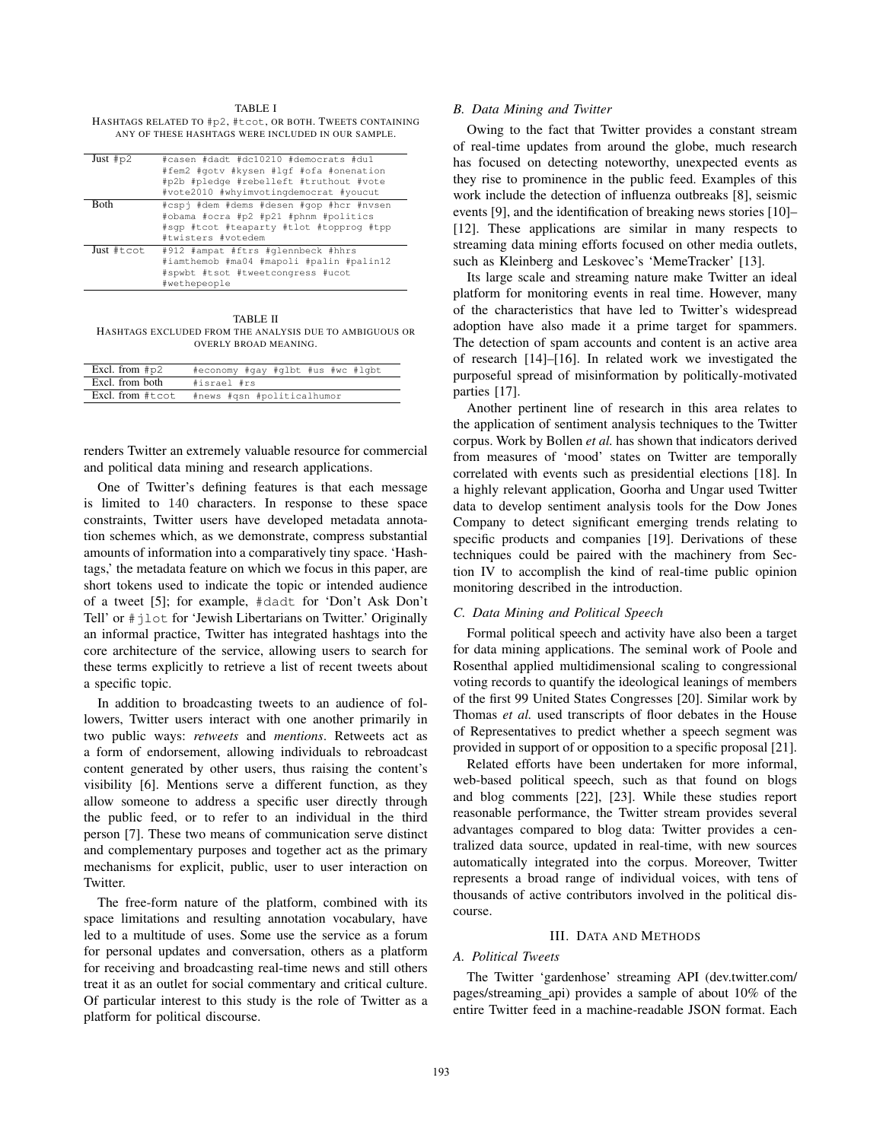TABLE I HASHTAGS RELATED TO #p2, #tcot, OR BOTH. TWEETS CONTAINING ANY OF THESE HASHTAGS WERE INCLUDED IN OUR SAMPLE.

| Just $\#p2$ | #casen #dadt #dc10210 #democrats #du1<br>#fem2 #gotv #kysen #lgf #ofa #onenation<br>#p2b #pledge #rebelleft #truthout #vote<br>#vote2010 #whyimvotingdemocrat #youcut |
|-------------|-----------------------------------------------------------------------------------------------------------------------------------------------------------------------|
| <b>Both</b> | #cspj #dem #dems #desen #gop #hcr #nvsen<br>#obama #ocra #p2 #p21 #phnm #politics<br>#sqp #tcot #teaparty #tlot #topprog #tpp<br>#twisters #votedem                   |
| Just #tcot  | #912 #ampat #ftrs #glennbeck #hhrs<br>#iamthemob #ma04 #mapoli #palin #palin12<br>#spwbt #tsot #tweetcongress #ucot<br>#wethepeople                                   |

TABLE II HASHTAGS EXCLUDED FROM THE ANALYSIS DUE TO AMBIGUOUS OR OVERLY BROAD MEANING.

| Excl. from $\#p2$ | #economy #gay #glbt #us #wc #lqbt |
|-------------------|-----------------------------------|
| Excl. from both   | #israel #rs                       |
| Excl. from #tcot  | #news #qsn #politicalhumor        |

renders Twitter an extremely valuable resource for commercial and political data mining and research applications.

One of Twitter's defining features is that each message is limited to 140 characters. In response to these space constraints, Twitter users have developed metadata annotation schemes which, as we demonstrate, compress substantial amounts of information into a comparatively tiny space. 'Hashtags,' the metadata feature on which we focus in this paper, are short tokens used to indicate the topic or intended audience of a tweet [5]; for example, #dadt for 'Don't Ask Don't Tell' or #jlot for 'Jewish Libertarians on Twitter.' Originally an informal practice, Twitter has integrated hashtags into the core architecture of the service, allowing users to search for these terms explicitly to retrieve a list of recent tweets about a specific topic.

In addition to broadcasting tweets to an audience of followers, Twitter users interact with one another primarily in two public ways: *retweets* and *mentions*. Retweets act as a form of endorsement, allowing individuals to rebroadcast content generated by other users, thus raising the content's visibility [6]. Mentions serve a different function, as they allow someone to address a specific user directly through the public feed, or to refer to an individual in the third person [7]. These two means of communication serve distinct and complementary purposes and together act as the primary mechanisms for explicit, public, user to user interaction on Twitter.

The free-form nature of the platform, combined with its space limitations and resulting annotation vocabulary, have led to a multitude of uses. Some use the service as a forum for personal updates and conversation, others as a platform for receiving and broadcasting real-time news and still others treat it as an outlet for social commentary and critical culture. Of particular interest to this study is the role of Twitter as a platform for political discourse.

#### *B. Data Mining and Twitter*

Owing to the fact that Twitter provides a constant stream of real-time updates from around the globe, much research has focused on detecting noteworthy, unexpected events as they rise to prominence in the public feed. Examples of this work include the detection of influenza outbreaks [8], seismic events [9], and the identification of breaking news stories [10]– [12]. These applications are similar in many respects to streaming data mining efforts focused on other media outlets, such as Kleinberg and Leskovec's 'MemeTracker' [13].

Its large scale and streaming nature make Twitter an ideal platform for monitoring events in real time. However, many of the characteristics that have led to Twitter's widespread adoption have also made it a prime target for spammers. The detection of spam accounts and content is an active area of research [14]–[16]. In related work we investigated the purposeful spread of misinformation by politically-motivated parties [17].

Another pertinent line of research in this area relates to the application of sentiment analysis techniques to the Twitter corpus. Work by Bollen *et al.* has shown that indicators derived from measures of 'mood' states on Twitter are temporally correlated with events such as presidential elections [18]. In a highly relevant application, Goorha and Ungar used Twitter data to develop sentiment analysis tools for the Dow Jones Company to detect significant emerging trends relating to specific products and companies [19]. Derivations of these techniques could be paired with the machinery from Section IV to accomplish the kind of real-time public opinion monitoring described in the introduction.

#### *C. Data Mining and Political Speech*

Formal political speech and activity have also been a target for data mining applications. The seminal work of Poole and Rosenthal applied multidimensional scaling to congressional voting records to quantify the ideological leanings of members of the first 99 United States Congresses [20]. Similar work by Thomas *et al.* used transcripts of floor debates in the House of Representatives to predict whether a speech segment was provided in support of or opposition to a specific proposal [21].

Related efforts have been undertaken for more informal, web-based political speech, such as that found on blogs and blog comments [22], [23]. While these studies report reasonable performance, the Twitter stream provides several advantages compared to blog data: Twitter provides a centralized data source, updated in real-time, with new sources automatically integrated into the corpus. Moreover, Twitter represents a broad range of individual voices, with tens of thousands of active contributors involved in the political discourse.

## III. DATA AND METHODS

## *A. Political Tweets*

The Twitter 'gardenhose' streaming API (dev.twitter.com/ pages/streaming api) provides a sample of about 10% of the entire Twitter feed in a machine-readable JSON format. Each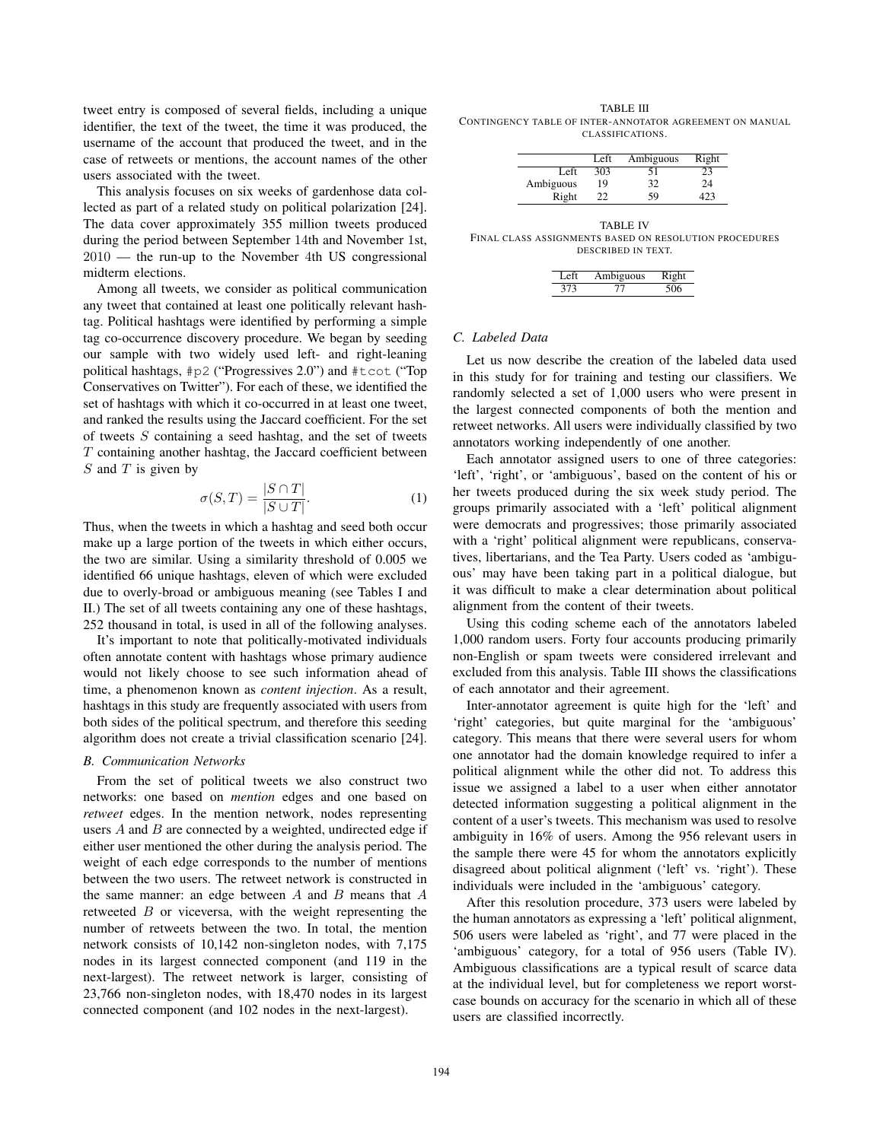tweet entry is composed of several fields, including a unique identifier, the text of the tweet, the time it was produced, the username of the account that produced the tweet, and in the case of retweets or mentions, the account names of the other users associated with the tweet.

This analysis focuses on six weeks of gardenhose data collected as part of a related study on political polarization [24]. The data cover approximately 355 million tweets produced during the period between September 14th and November 1st, 2010 — the run-up to the November 4th US congressional midterm elections.

Among all tweets, we consider as political communication any tweet that contained at least one politically relevant hashtag. Political hashtags were identified by performing a simple tag co-occurrence discovery procedure. We began by seeding our sample with two widely used left- and right-leaning political hashtags, #p2 ("Progressives 2.0") and #tcot ("Top Conservatives on Twitter"). For each of these, we identified the set of hashtags with which it co-occurred in at least one tweet, and ranked the results using the Jaccard coefficient. For the set of tweets S containing a seed hashtag, and the set of tweets T containing another hashtag, the Jaccard coefficient between  $S$  and  $T$  is given by

$$
\sigma(S,T) = \frac{|S \cap T|}{|S \cup T|}.
$$
 (1)

Thus, when the tweets in which a hashtag and seed both occur make up a large portion of the tweets in which either occurs, the two are similar. Using a similarity threshold of 0.005 we identified 66 unique hashtags, eleven of which were excluded due to overly-broad or ambiguous meaning (see Tables I and II.) The set of all tweets containing any one of these hashtags, 252 thousand in total, is used in all of the following analyses.

It's important to note that politically-motivated individuals often annotate content with hashtags whose primary audience would not likely choose to see such information ahead of time, a phenomenon known as *content injection*. As a result, hashtags in this study are frequently associated with users from both sides of the political spectrum, and therefore this seeding algorithm does not create a trivial classification scenario [24].

# *B. Communication Networks*

From the set of political tweets we also construct two networks: one based on *mention* edges and one based on *retweet* edges. In the mention network, nodes representing users  $A$  and  $B$  are connected by a weighted, undirected edge if either user mentioned the other during the analysis period. The weight of each edge corresponds to the number of mentions between the two users. The retweet network is constructed in the same manner: an edge between  $A$  and  $B$  means that  $A$ retweeted  $B$  or viceversa, with the weight representing the number of retweets between the two. In total, the mention network consists of 10,142 non-singleton nodes, with 7,175 nodes in its largest connected component (and 119 in the next-largest). The retweet network is larger, consisting of 23,766 non-singleton nodes, with 18,470 nodes in its largest connected component (and 102 nodes in the next-largest).

TABLE III CONTINGENCY TABLE OF INTER-ANNOTATOR AGREEMENT ON MANUAL CLASSIFICATIONS.

|           | Left | Ambiguous | Right |
|-----------|------|-----------|-------|
| Left      | 303  | 51        | 23    |
| Ambiguous | 19   | 32        | 24    |
| Right     | າາ   | 59        |       |

TABLE IV FINAL CLASS ASSIGNMENTS BASED ON RESOLUTION PROCEDURES DESCRIBED IN TEXT.

| Left. | Ambiguous | Right |
|-------|-----------|-------|
| 373   |           | 506   |

# *C. Labeled Data*

Let us now describe the creation of the labeled data used in this study for for training and testing our classifiers. We randomly selected a set of 1,000 users who were present in the largest connected components of both the mention and retweet networks. All users were individually classified by two annotators working independently of one another.

Each annotator assigned users to one of three categories: 'left', 'right', or 'ambiguous', based on the content of his or her tweets produced during the six week study period. The groups primarily associated with a 'left' political alignment were democrats and progressives; those primarily associated with a 'right' political alignment were republicans, conservatives, libertarians, and the Tea Party. Users coded as 'ambiguous' may have been taking part in a political dialogue, but it was difficult to make a clear determination about political alignment from the content of their tweets.

Using this coding scheme each of the annotators labeled 1,000 random users. Forty four accounts producing primarily non-English or spam tweets were considered irrelevant and excluded from this analysis. Table III shows the classifications of each annotator and their agreement.

Inter-annotator agreement is quite high for the 'left' and 'right' categories, but quite marginal for the 'ambiguous' category. This means that there were several users for whom one annotator had the domain knowledge required to infer a political alignment while the other did not. To address this issue we assigned a label to a user when either annotator detected information suggesting a political alignment in the content of a user's tweets. This mechanism was used to resolve ambiguity in 16% of users. Among the 956 relevant users in the sample there were 45 for whom the annotators explicitly disagreed about political alignment ('left' vs. 'right'). These individuals were included in the 'ambiguous' category.

After this resolution procedure, 373 users were labeled by the human annotators as expressing a 'left' political alignment, 506 users were labeled as 'right', and 77 were placed in the 'ambiguous' category, for a total of 956 users (Table IV). Ambiguous classifications are a typical result of scarce data at the individual level, but for completeness we report worstcase bounds on accuracy for the scenario in which all of these users are classified incorrectly.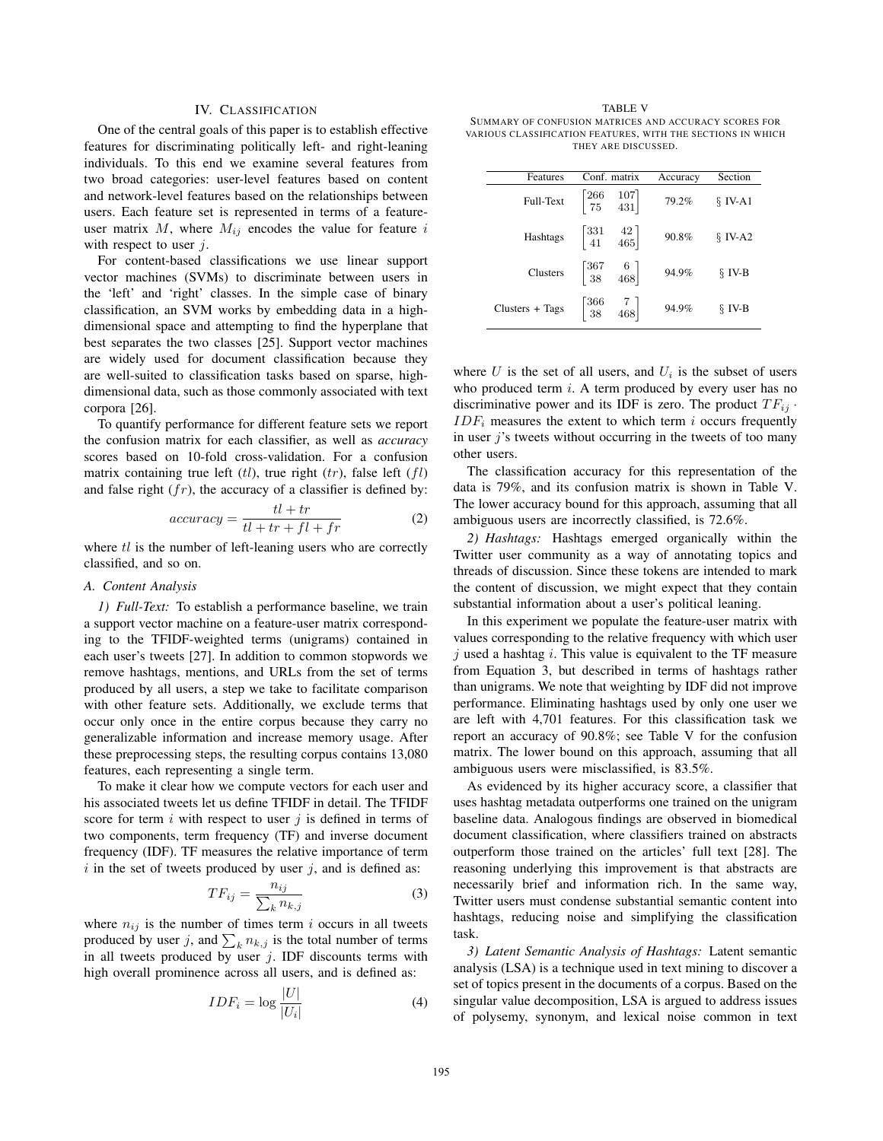## IV. CLASSIFICATION

One of the central goals of this paper is to establish effective features for discriminating politically left- and right-leaning individuals. To this end we examine several features from two broad categories: user-level features based on content and network-level features based on the relationships between users. Each feature set is represented in terms of a featureuser matrix  $M$ , where  $M_{ij}$  encodes the value for feature i with respect to user  $j$ .

For content-based classifications we use linear support vector machines (SVMs) to discriminate between users in the 'left' and 'right' classes. In the simple case of binary classification, an SVM works by embedding data in a highdimensional space and attempting to find the hyperplane that best separates the two classes [25]. Support vector machines are widely used for document classification because they are well-suited to classification tasks based on sparse, highdimensional data, such as those commonly associated with text corpora [26].

To quantify performance for different feature sets we report the confusion matrix for each classifier, as well as *accuracy* scores based on 10-fold cross-validation. For a confusion matrix containing true left  $(tl)$ , true right  $(tr)$ , false left  $(fl)$ and false right  $(fr)$ , the accuracy of a classifier is defined by:

$$
accuracy = \frac{tl + tr}{tl + tr + fl + fr}
$$
 (2)

where  $tl$  is the number of left-leaning users who are correctly classified, and so on.

#### *A. Content Analysis*

*1) Full-Text:* To establish a performance baseline, we train a support vector machine on a feature-user matrix corresponding to the TFIDF-weighted terms (unigrams) contained in each user's tweets [27]. In addition to common stopwords we remove hashtags, mentions, and URLs from the set of terms produced by all users, a step we take to facilitate comparison with other feature sets. Additionally, we exclude terms that occur only once in the entire corpus because they carry no generalizable information and increase memory usage. After these preprocessing steps, the resulting corpus contains 13,080 features, each representing a single term.

To make it clear how we compute vectors for each user and his associated tweets let us define TFIDF in detail. The TFIDF score for term  $i$  with respect to user  $j$  is defined in terms of two components, term frequency (TF) and inverse document frequency (IDF). TF measures the relative importance of term  $i$  in the set of tweets produced by user  $j$ , and is defined as:

$$
TF_{ij} = \frac{n_{ij}}{\sum_{k} n_{k,j}}\tag{3}
$$

where  $n_{ij}$  is the number of times term i occurs in all tweets produced by user j, and  $\sum_{k} n_{k,j}$  is the total number of terms in all tweets produced by user j. IDF discounts terms with high overall prominence across all users, and is defined as:

$$
IDF_i = \log \frac{|U|}{|U_i|} \tag{4}
$$

TABLE V SUMMARY OF CONFUSION MATRICES AND ACCURACY SCORES FOR VARIOUS CLASSIFICATION FEATURES, WITH THE SECTIONS IN WHICH THEY ARE DISCUSSED.

| Features        | Conf. matrix                                          | Accuracy | Section    |
|-----------------|-------------------------------------------------------|----------|------------|
| Full-Text       | $\begin{bmatrix} 266 & 107 \\ 75 & 431 \end{bmatrix}$ | 79.2%    | $\S$ IV-A1 |
| Hashtags        | $\begin{bmatrix} 331 & 42 \\ 41 & 465 \end{bmatrix}$  | 90.8%    | $\S$ IV-A2 |
| Clusters        | $\begin{bmatrix} 367 & 6 \\ 38 & 468 \end{bmatrix}$   | 94.9%    | § IV-B     |
| Clusters + Tags | $\begin{bmatrix} 366 & 7 \\ 38 & 468 \end{bmatrix}$   | 94.9%    | § IV-B     |

where  $U$  is the set of all users, and  $U_i$  is the subset of users who produced term  $i$ . A term produced by every user has no discriminative power and its IDF is zero. The product  $TF_{ij}$ .  $IDF<sub>i</sub>$  measures the extent to which term i occurs frequently in user  $i$ 's tweets without occurring in the tweets of too many other users.

The classification accuracy for this representation of the data is 79%, and its confusion matrix is shown in Table V. The lower accuracy bound for this approach, assuming that all ambiguous users are incorrectly classified, is 72.6%.

*2) Hashtags:* Hashtags emerged organically within the Twitter user community as a way of annotating topics and threads of discussion. Since these tokens are intended to mark the content of discussion, we might expect that they contain substantial information about a user's political leaning.

In this experiment we populate the feature-user matrix with values corresponding to the relative frequency with which user  $j$  used a hashtag  $i$ . This value is equivalent to the TF measure from Equation 3, but described in terms of hashtags rather than unigrams. We note that weighting by IDF did not improve performance. Eliminating hashtags used by only one user we are left with 4,701 features. For this classification task we report an accuracy of 90.8%; see Table V for the confusion matrix. The lower bound on this approach, assuming that all ambiguous users were misclassified, is 83.5%.

As evidenced by its higher accuracy score, a classifier that uses hashtag metadata outperforms one trained on the unigram baseline data. Analogous findings are observed in biomedical document classification, where classifiers trained on abstracts outperform those trained on the articles' full text [28]. The reasoning underlying this improvement is that abstracts are necessarily brief and information rich. In the same way, Twitter users must condense substantial semantic content into hashtags, reducing noise and simplifying the classification task.

*3) Latent Semantic Analysis of Hashtags:* Latent semantic analysis (LSA) is a technique used in text mining to discover a set of topics present in the documents of a corpus. Based on the singular value decomposition, LSA is argued to address issues of polysemy, synonym, and lexical noise common in text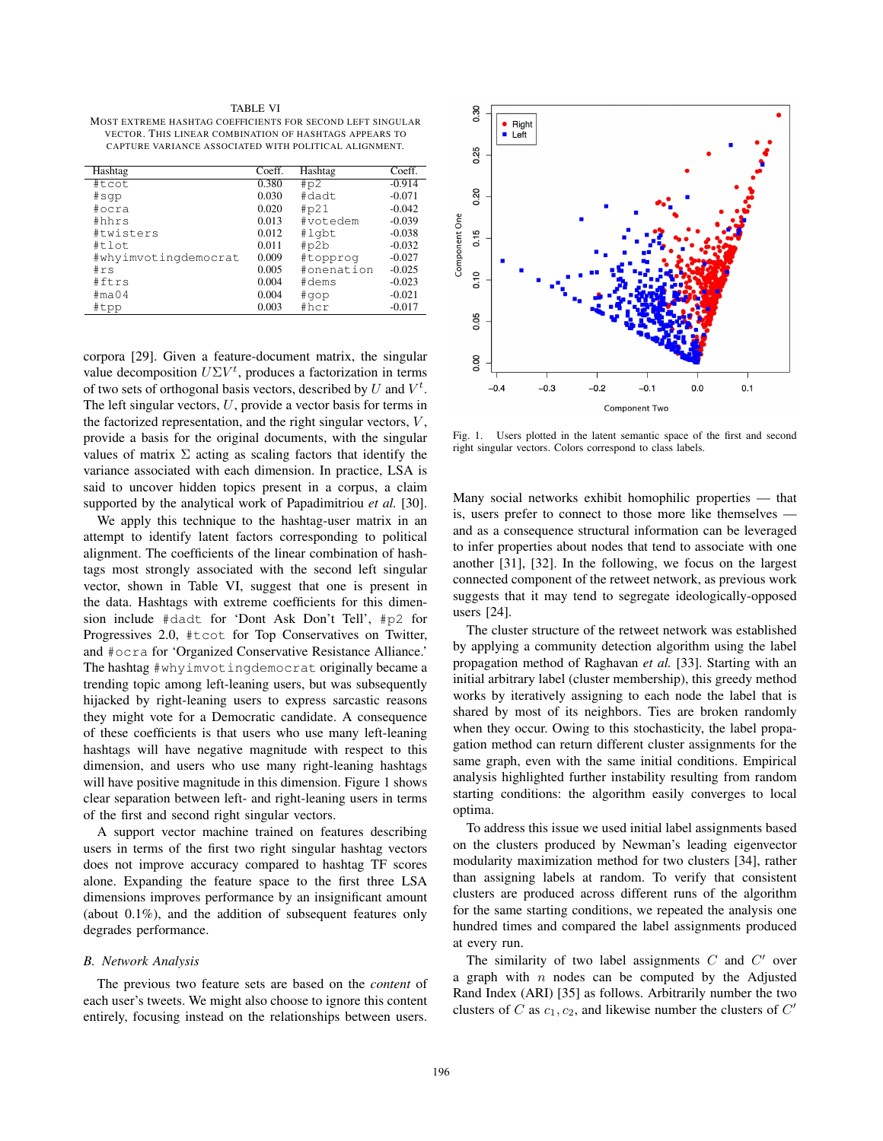TABLE VI MOST EXTREME HASHTAG COEFFICIENTS FOR SECOND LEFT SINGULAR VECTOR. THIS LINEAR COMBINATION OF HASHTAGS APPEARS TO CAPTURE VARIANCE ASSOCIATED WITH POLITICAL ALIGNMENT.

| Hashtag              | Coeff. | Hashtag    | Coeff.   |
|----------------------|--------|------------|----------|
| #tcot                | 0.380  | #p2        | $-0.914$ |
| #sqp                 | 0.030  | #dadt      | $-0.071$ |
| #ocra                | 0.020  | #p21       | $-0.042$ |
| #hhrs                | 0.013  | #votedem   | $-0.039$ |
| #twisters            | 0.012  | #lqbt      | $-0.038$ |
| #tlot                | 0.011  | #p2b       | $-0.032$ |
| #whyimvotingdemocrat | 0.009  | #topprog   | $-0.027$ |
| #rs                  | 0.005  | #onenation | $-0.025$ |
| #ftrs                | 0.004  | #dems      | $-0.023$ |
| $\text{\#ma04}$      | 0.004  | #qop       | $-0.021$ |
| #tpp                 | 0.003  | #hcr       | $-0.017$ |

corpora [29]. Given a feature-document matrix, the singular value decomposition  $U\Sigma V^t$ , produces a factorization in terms of two sets of orthogonal basis vectors, described by  $U$  and  $V^t$ . The left singular vectors, U, provide a vector basis for terms in the factorized representation, and the right singular vectors,  $V$ , provide a basis for the original documents, with the singular values of matrix  $\Sigma$  acting as scaling factors that identify the variance associated with each dimension. In practice, LSA is said to uncover hidden topics present in a corpus, a claim supported by the analytical work of Papadimitriou *et al.* [30].

We apply this technique to the hashtag-user matrix in an attempt to identify latent factors corresponding to political alignment. The coefficients of the linear combination of hashtags most strongly associated with the second left singular vector, shown in Table VI, suggest that one is present in the data. Hashtags with extreme coefficients for this dimension include #dadt for 'Dont Ask Don't Tell', #p2 for Progressives 2.0, #tcot for Top Conservatives on Twitter, and #ocra for 'Organized Conservative Resistance Alliance.' The hashtag #whyimvotingdemocrat originally became a trending topic among left-leaning users, but was subsequently hijacked by right-leaning users to express sarcastic reasons they might vote for a Democratic candidate. A consequence of these coefficients is that users who use many left-leaning hashtags will have negative magnitude with respect to this dimension, and users who use many right-leaning hashtags will have positive magnitude in this dimension. Figure 1 shows clear separation between left- and right-leaning users in terms of the first and second right singular vectors.

A support vector machine trained on features describing users in terms of the first two right singular hashtag vectors does not improve accuracy compared to hashtag TF scores alone. Expanding the feature space to the first three LSA dimensions improves performance by an insignificant amount (about 0.1%), and the addition of subsequent features only degrades performance.

#### *B. Network Analysis*

The previous two feature sets are based on the *content* of each user's tweets. We might also choose to ignore this content entirely, focusing instead on the relationships between users.



Fig. 1. Users plotted in the latent semantic space of the first and second right singular vectors. Colors correspond to class labels.

Many social networks exhibit homophilic properties — that is, users prefer to connect to those more like themselves and as a consequence structural information can be leveraged to infer properties about nodes that tend to associate with one another [31], [32]. In the following, we focus on the largest connected component of the retweet network, as previous work suggests that it may tend to segregate ideologically-opposed users [24].

The cluster structure of the retweet network was established by applying a community detection algorithm using the label propagation method of Raghavan *et al.* [33]. Starting with an initial arbitrary label (cluster membership), this greedy method works by iteratively assigning to each node the label that is shared by most of its neighbors. Ties are broken randomly when they occur. Owing to this stochasticity, the label propagation method can return different cluster assignments for the same graph, even with the same initial conditions. Empirical analysis highlighted further instability resulting from random starting conditions: the algorithm easily converges to local optima.

To address this issue we used initial label assignments based on the clusters produced by Newman's leading eigenvector modularity maximization method for two clusters [34], rather than assigning labels at random. To verify that consistent clusters are produced across different runs of the algorithm for the same starting conditions, we repeated the analysis one hundred times and compared the label assignments produced at every run.

The similarity of two label assignments  $C$  and  $C'$  over a graph with  $n$  nodes can be computed by the Adjusted Rand Index (ARI) [35] as follows. Arbitrarily number the two clusters of C as  $c_1, c_2$ , and likewise number the clusters of  $C'$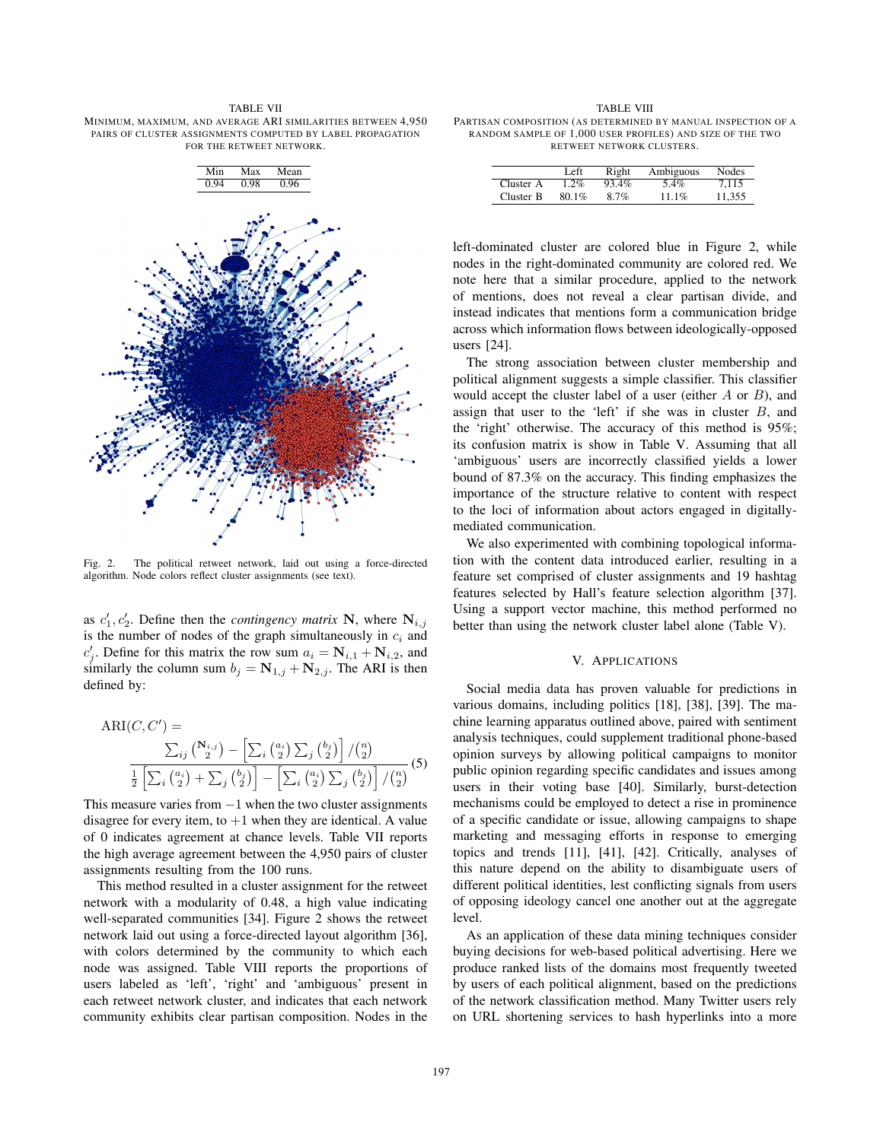# TABLE VII

MINIMUM, MAXIMUM, AND AVERAGE ARI SIMILARITIES BETWEEN 4,950 PAIRS OF CLUSTER ASSIGNMENTS COMPUTED BY LABEL PROPAGATION FOR THE RETWEET NETWORK.



Fig. 2. The political retweet network, laid out using a force-directed algorithm. Node colors reflect cluster assignments (see text).

as  $c'_1, c'_2$ . Define then the *contingency matrix* N, where  $N_{i,j}$ is the number of nodes of the graph simultaneously in  $c_i$  and  $c'_{j}$ . Define for this matrix the row sum  $a_{i} = \mathbf{N}_{i,1} + \mathbf{N}_{i,2}$ , and similarly the column sum  $b_j = N_{1,j} + N_{2,j}$ . The ARI is then defined by:

$$
ARI(C, C') = \frac{\sum_{ij} {N_{i,j} \choose 2} - \left[\sum_i {a_i \choose 2} \sum_j {b_j \choose 2}\right] / {n \choose 2}}{\frac{1}{2} \left[\sum_i {a_i \choose 2} + \sum_j {b_j \choose 2}\right] - \left[\sum_i {a_i \choose 2} \sum_j {b_j \choose 2}\right] / {n \choose 2}} (5)
$$

This measure varies from  $-1$  when the two cluster assignments disagree for every item, to  $+1$  when they are identical. A value of 0 indicates agreement at chance levels. Table VII reports the high average agreement between the 4,950 pairs of cluster assignments resulting from the 100 runs.

This method resulted in a cluster assignment for the retweet network with a modularity of 0.48, a high value indicating well-separated communities [34]. Figure 2 shows the retweet network laid out using a force-directed layout algorithm [36], with colors determined by the community to which each node was assigned. Table VIII reports the proportions of users labeled as 'left', 'right' and 'ambiguous' present in each retweet network cluster, and indicates that each network community exhibits clear partisan composition. Nodes in the

TABLE VIII PARTISAN COMPOSITION (AS DETERMINED BY MANUAL INSPECTION OF A RANDOM SAMPLE OF 1,000 USER PROFILES) AND SIZE OF THE TWO RETWEET NETWORK CLUSTERS.

|           | Left     | Right | Ambiguous | Nodes  |
|-----------|----------|-------|-----------|--------|
| Cluster A | $1.2\%$  | 93.4% | 5.4%      | 7.115  |
| Cluster B | $80.1\%$ | 8.7%  | $11.1\%$  | 11.355 |

left-dominated cluster are colored blue in Figure 2, while nodes in the right-dominated community are colored red. We note here that a similar procedure, applied to the network of mentions, does not reveal a clear partisan divide, and instead indicates that mentions form a communication bridge across which information flows between ideologically-opposed users [24].

The strong association between cluster membership and political alignment suggests a simple classifier. This classifier would accept the cluster label of a user (either  $A$  or  $B$ ), and assign that user to the 'left' if she was in cluster  $B$ , and the 'right' otherwise. The accuracy of this method is 95%; its confusion matrix is show in Table V. Assuming that all 'ambiguous' users are incorrectly classified yields a lower bound of 87.3% on the accuracy. This finding emphasizes the importance of the structure relative to content with respect to the loci of information about actors engaged in digitallymediated communication.

We also experimented with combining topological information with the content data introduced earlier, resulting in a feature set comprised of cluster assignments and 19 hashtag features selected by Hall's feature selection algorithm [37]. Using a support vector machine, this method performed no better than using the network cluster label alone (Table V).

#### V. APPLICATIONS

Social media data has proven valuable for predictions in various domains, including politics [18], [38], [39]. The machine learning apparatus outlined above, paired with sentiment analysis techniques, could supplement traditional phone-based opinion surveys by allowing political campaigns to monitor public opinion regarding specific candidates and issues among users in their voting base [40]. Similarly, burst-detection mechanisms could be employed to detect a rise in prominence of a specific candidate or issue, allowing campaigns to shape marketing and messaging efforts in response to emerging topics and trends [11], [41], [42]. Critically, analyses of this nature depend on the ability to disambiguate users of different political identities, lest conflicting signals from users of opposing ideology cancel one another out at the aggregate level.

As an application of these data mining techniques consider buying decisions for web-based political advertising. Here we produce ranked lists of the domains most frequently tweeted by users of each political alignment, based on the predictions of the network classification method. Many Twitter users rely on URL shortening services to hash hyperlinks into a more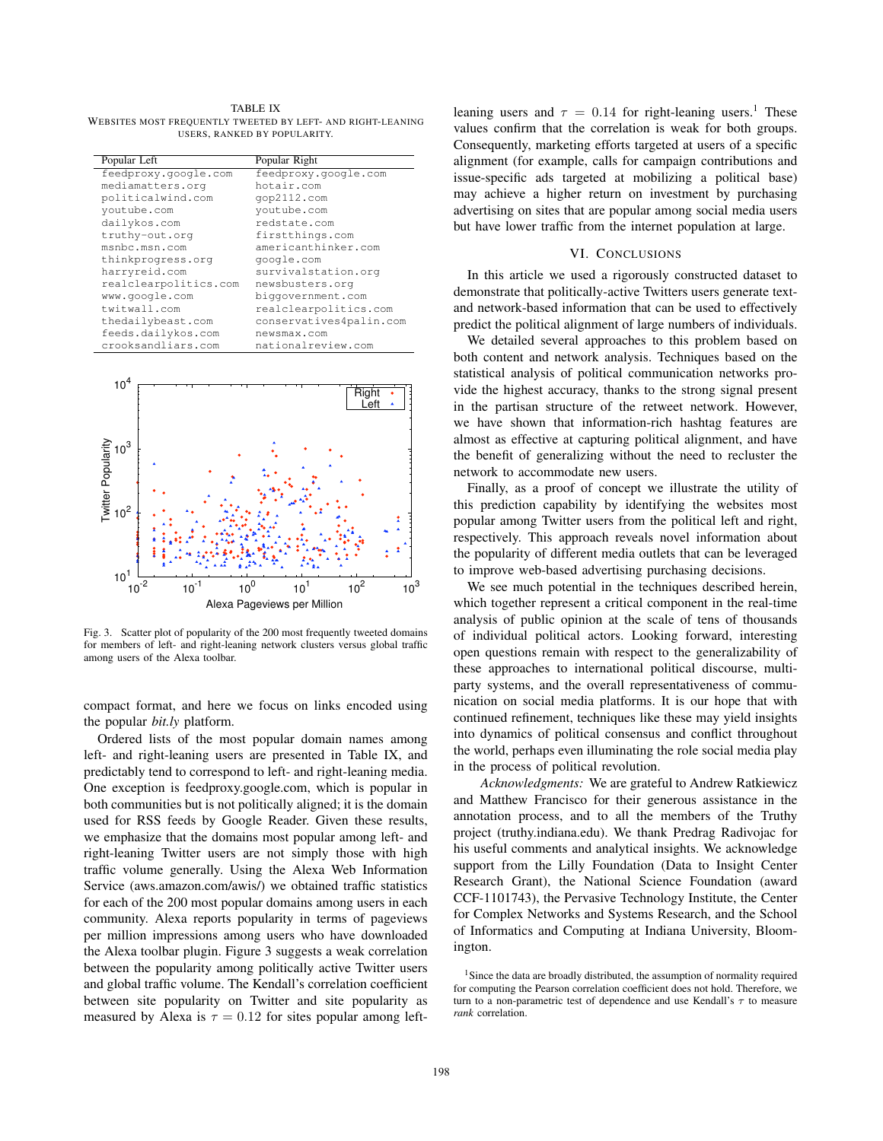TABLE IX WEBSITES MOST FREQUENTLY TWEETED BY LEFT- AND RIGHT-LEANING USERS, RANKED BY POPULARITY.

| Popular Left          | Popular Right           |
|-----------------------|-------------------------|
| feedproxy.google.com  | feedproxy.google.com    |
| mediamatters.org      | hotair.com              |
| politicalwind.com     | qop2112.com             |
| voutube.com           | youtube.com             |
| dailykos.com          | redstate.com            |
| truthy-out.org        | firstthings.com         |
| msnbc.msn.com         | americanthinker.com     |
| thinkprogress.org     | google.com              |
| harryreid.com         | survivalstation.org     |
| realclearpolitics.com | newsbusters.org         |
| www.google.com        | biggovernment.com       |
| twitwall.com          | realclearpolitics.com   |
| thedailybeast.com     | conservatives4palin.com |
| feeds.dailykos.com    | newsmax.com             |
| crooksandliars.com    | nationalreview.com      |



Fig. 3. Scatter plot of popularity of the 200 most frequently tweeted domains for members of left- and right-leaning network clusters versus global traffic among users of the Alexa toolbar.

compact format, and here we focus on links encoded using the popular *bit.ly* platform.

Ordered lists of the most popular domain names among left- and right-leaning users are presented in Table IX, and predictably tend to correspond to left- and right-leaning media. One exception is feedproxy.google.com, which is popular in both communities but is not politically aligned; it is the domain used for RSS feeds by Google Reader. Given these results, we emphasize that the domains most popular among left- and right-leaning Twitter users are not simply those with high traffic volume generally. Using the Alexa Web Information Service (aws.amazon.com/awis/) we obtained traffic statistics for each of the 200 most popular domains among users in each community. Alexa reports popularity in terms of pageviews per million impressions among users who have downloaded the Alexa toolbar plugin. Figure 3 suggests a weak correlation between the popularity among politically active Twitter users and global traffic volume. The Kendall's correlation coefficient between site popularity on Twitter and site popularity as measured by Alexa is  $\tau = 0.12$  for sites popular among leftleaning users and  $\tau = 0.14$  for right-leaning users.<sup>1</sup> These values confirm that the correlation is weak for both groups. Consequently, marketing efforts targeted at users of a specific alignment (for example, calls for campaign contributions and issue-specific ads targeted at mobilizing a political base) may achieve a higher return on investment by purchasing advertising on sites that are popular among social media users but have lower traffic from the internet population at large.

#### VI. CONCLUSIONS

In this article we used a rigorously constructed dataset to demonstrate that politically-active Twitters users generate textand network-based information that can be used to effectively predict the political alignment of large numbers of individuals.

We detailed several approaches to this problem based on both content and network analysis. Techniques based on the statistical analysis of political communication networks provide the highest accuracy, thanks to the strong signal present in the partisan structure of the retweet network. However, we have shown that information-rich hashtag features are almost as effective at capturing political alignment, and have the benefit of generalizing without the need to recluster the network to accommodate new users.

Finally, as a proof of concept we illustrate the utility of this prediction capability by identifying the websites most popular among Twitter users from the political left and right, respectively. This approach reveals novel information about the popularity of different media outlets that can be leveraged to improve web-based advertising purchasing decisions.

We see much potential in the techniques described herein, which together represent a critical component in the real-time analysis of public opinion at the scale of tens of thousands of individual political actors. Looking forward, interesting open questions remain with respect to the generalizability of these approaches to international political discourse, multiparty systems, and the overall representativeness of communication on social media platforms. It is our hope that with continued refinement, techniques like these may yield insights into dynamics of political consensus and conflict throughout the world, perhaps even illuminating the role social media play in the process of political revolution.

*Acknowledgments:* We are grateful to Andrew Ratkiewicz and Matthew Francisco for their generous assistance in the annotation process, and to all the members of the Truthy project (truthy.indiana.edu). We thank Predrag Radivojac for his useful comments and analytical insights. We acknowledge support from the Lilly Foundation (Data to Insight Center Research Grant), the National Science Foundation (award CCF-1101743), the Pervasive Technology Institute, the Center for Complex Networks and Systems Research, and the School of Informatics and Computing at Indiana University, Bloomington.

<sup>1</sup>Since the data are broadly distributed, the assumption of normality required for computing the Pearson correlation coefficient does not hold. Therefore, we turn to a non-parametric test of dependence and use Kendall's  $\tau$  to measure *rank* correlation.